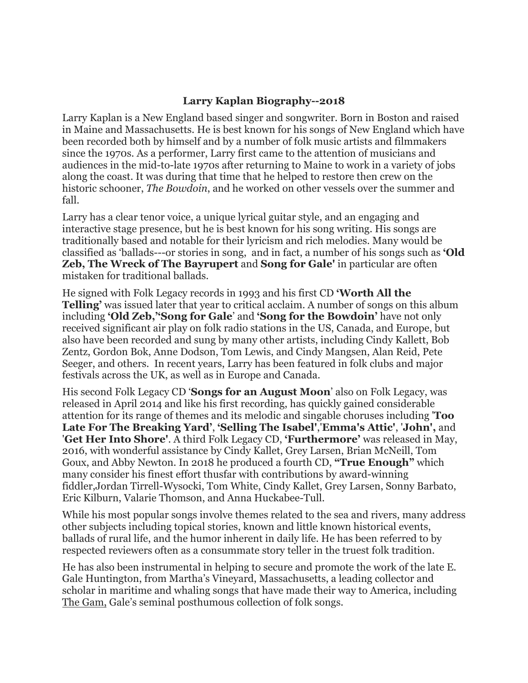#### **Larry Kaplan Biography--2018**

Larry Kaplan is a New England based singer and songwriter. Born in Boston and raised in Maine and Massachusetts. He is best known for his songs of New England which have been recorded both by himself and by a number of folk music artists and filmmakers since the 1970s. As a performer, Larry first came to the attention of musicians and audiences in the mid-to-late 1970s after returning to Maine to work in a variety of jobs along the coast. It was during that time that he helped to restore then crew on the historic schooner, *The Bowdoin*, and he worked on other vessels over the summer and fall.

Larry has a clear tenor voice, a unique lyrical guitar style, and an engaging and interactive stage presence, but he is best known for his song writing. His songs are traditionally based and notable for their lyricism and rich melodies. Many would be classified as 'ballads---or stories in song, and in fact, a number of his songs such as **'Old Zeb, The Wreck of The Bayrupert** and **Song for Gale'** in particular are often mistaken for traditional ballads.

He signed with Folk Legacy records in 1993 and his first CD **'Worth All the Telling'** was issued later that year to critical acclaim. A number of songs on this album including **'Old Zeb,''Song for Gale**' and **'Song for the Bowdoin'** have not only received significant air play on folk radio stations in the US, Canada, and Europe, but also have been recorded and sung by many other artists, including Cindy Kallett, Bob Zentz, Gordon Bok, Anne Dodson, Tom Lewis, and Cindy Mangsen, Alan Reid, Pete Seeger, and others. In recent years, Larry has been featured in folk clubs and major festivals across the UK, as well as in Europe and Canada.

His second Folk Legacy CD '**Songs for an August Moon**' also on Folk Legacy, was released in April 2014 and like his first recording, has quickly gained considerable attention for its range of themes and its melodic and singable choruses including '**Too Late For The Breaking Yard'**, **'Selling The Isabel'**,'**Emma's Attic'**, '**John',** and '**Get Her Into Shore'**. A third Folk Legacy CD, **'Furthermore'** was released in May, 2016, with wonderful assistance by Cindy Kallet, Grey Larsen, Brian McNeill, Tom Goux, and Abby Newton. In 2018 he produced a fourth CD, **"True Enough"** which many consider his finest effort thusfar with contributions by award-winning fiddler,Jordan Tirrell-Wysocki, Tom White, Cindy Kallet, Grey Larsen, Sonny Barbato, Eric Kilburn, Valarie Thomson, and Anna Huckabee-Tull.

While his most popular songs involve themes related to the sea and rivers, many address other subjects including topical stories, known and little known historical events, ballads of rural life, and the humor inherent in daily life. He has been referred to by respected reviewers often as a consummate story teller in the truest folk tradition.

He has also been instrumental in helping to secure and promote the work of the late E. Gale Huntington, from Martha's Vineyard, Massachusetts, a leading collector and scholar in maritime and whaling songs that have made their way to America, including The Gam, Gale's seminal posthumous collection of folk songs.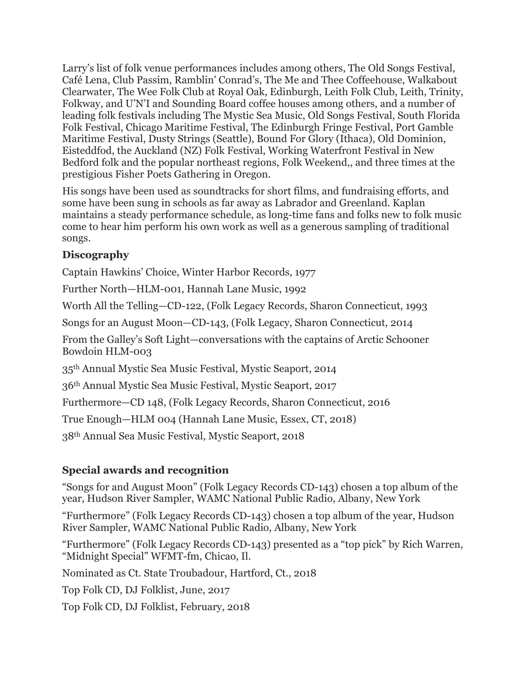Larry's list of folk venue performances includes among others, The Old Songs Festival, Café Lena, Club Passim, Ramblin' Conrad's, The Me and Thee Coffeehouse, Walkabout Clearwater, The Wee Folk Club at Royal Oak, Edinburgh, Leith Folk Club, Leith, Trinity, Folkway, and U'N'I and Sounding Board coffee houses among others, and a number of leading folk festivals including The Mystic Sea Music, Old Songs Festival, South Florida Folk Festival, Chicago Maritime Festival, The Edinburgh Fringe Festival, Port Gamble Maritime Festival, Dusty Strings (Seattle), Bound For Glory (Ithaca), Old Dominion, Eisteddfod, the Auckland (NZ) Folk Festival, Working Waterfront Festival in New Bedford folk and the popular northeast regions, Folk Weekend,, and three times at the prestigious Fisher Poets Gathering in Oregon.

His songs have been used as soundtracks for short films, and fundraising efforts, and some have been sung in schools as far away as Labrador and Greenland. Kaplan maintains a steady performance schedule, as long-time fans and folks new to folk music come to hear him perform his own work as well as a generous sampling of traditional songs.

### **Discography**

Captain Hawkins' Choice, Winter Harbor Records, 1977

Further North—HLM-001, Hannah Lane Music, 1992

Worth All the Telling—CD-122, (Folk Legacy Records, Sharon Connecticut, 1993

Songs for an August Moon—CD-143, (Folk Legacy, Sharon Connecticut, 2014

From the Galley's Soft Light—conversations with the captains of Arctic Schooner Bowdoin HLM-003

35th Annual Mystic Sea Music Festival, Mystic Seaport, 2014

36th Annual Mystic Sea Music Festival, Mystic Seaport, 2017

Furthermore—CD 148, (Folk Legacy Records, Sharon Connecticut, 2016

True Enough—HLM 004 (Hannah Lane Music, Essex, CT, 2018)

38th Annual Sea Music Festival, Mystic Seaport, 2018

# **Special awards and recognition**

"Songs for and August Moon" (Folk Legacy Records CD-143) chosen a top album of the year, Hudson River Sampler, WAMC National Public Radio, Albany, New York

"Furthermore" (Folk Legacy Records CD-143) chosen a top album of the year, Hudson River Sampler, WAMC National Public Radio, Albany, New York

"Furthermore" (Folk Legacy Records CD-143) presented as a "top pick" by Rich Warren, "Midnight Special" WFMT-fm, Chicao, Il.

Nominated as Ct. State Troubadour, Hartford, Ct., 2018

Top Folk CD, DJ Folklist, June, 2017

Top Folk CD, DJ Folklist, February, 2018